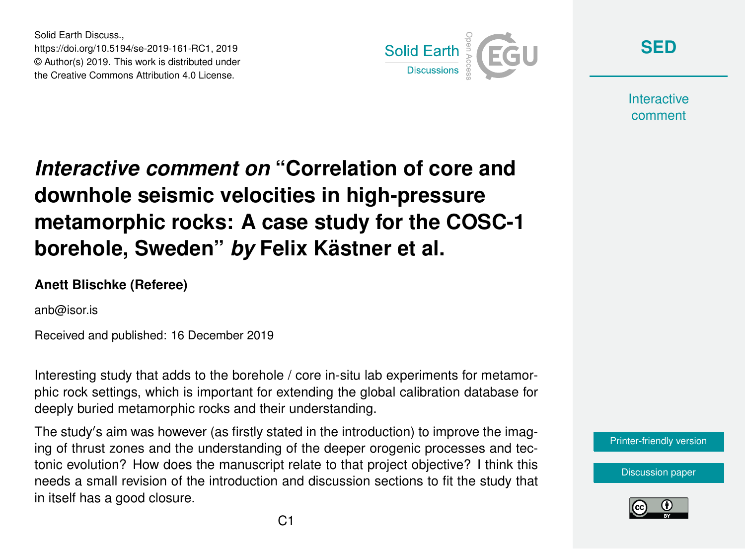Solid Earth Discuss., https://doi.org/10.5194/se-2019-161-RC1, 2019 © Author(s) 2019. This work is distributed under the Creative Commons Attribution 4.0 License.



**[SED](https://www.solid-earth-discuss.net/)**

**Interactive** comment

## *Interactive comment on* **"Correlation of core and downhole seismic velocities in high-pressure metamorphic rocks: A case study for the COSC-1 borehole, Sweden"** *by* **Felix Kästner et al.**

## **Anett Blischke (Referee)**

anb@isor.is

Received and published: 16 December 2019

Interesting study that adds to the borehole / core in-situ lab experiments for metamorphic rock settings, which is important for extending the global calibration database for deeply buried metamorphic rocks and their understanding.

The study's aim was however (as firstly stated in the introduction) to improve the imaging of thrust zones and the understanding of the deeper orogenic processes and tectonic evolution? How does the manuscript relate to that project objective? I think this needs a small revision of the introduction and discussion sections to fit the study that in itself has a good closure.

[Printer-friendly version](https://www.solid-earth-discuss.net/se-2019-161/se-2019-161-RC1-print.pdf)

[Discussion paper](https://www.solid-earth-discuss.net/se-2019-161)